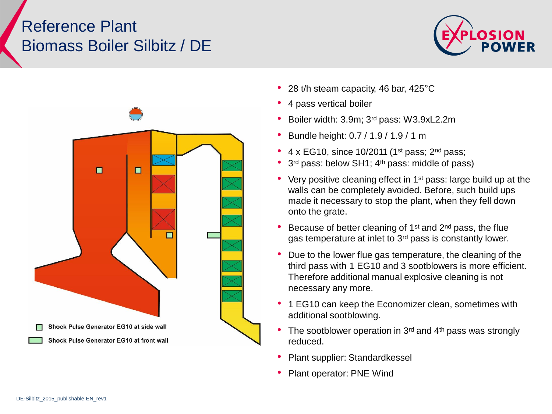## Reference Plant Biomass Boiler Silbitz / DE





- 28 t/h steam capacity, 46 bar, 425°C
- 4 pass vertical boiler
- Boiler width: 3.9m; 3rd pass: W3.9xL2.2m
- Bundle height: 0.7 / 1.9 / 1.9 / 1 m
- 4 x EG10, since 10/2011 (1st pass; 2nd pass;
- 3<sup>rd</sup> pass: below SH1; 4<sup>th</sup> pass: middle of pass)
- Very positive cleaning effect in 1st pass: large build up at the walls can be completely avoided. Before, such build ups made it necessary to stop the plant, when they fell down onto the grate.
- Because of better cleaning of 1st and 2nd pass, the flue gas temperature at inlet to 3rd pass is constantly lower.
- Due to the lower flue gas temperature, the cleaning of the third pass with 1 EG10 and 3 sootblowers is more efficient. Therefore additional manual explosive cleaning is not necessary any more.
- 1 EG10 can keep the Economizer clean, sometimes with additional sootblowing.
- The sootblower operation in  $3<sup>rd</sup>$  and  $4<sup>th</sup>$  pass was strongly reduced.
- Plant supplier: Standardkessel
- Plant operator: PNE Wind